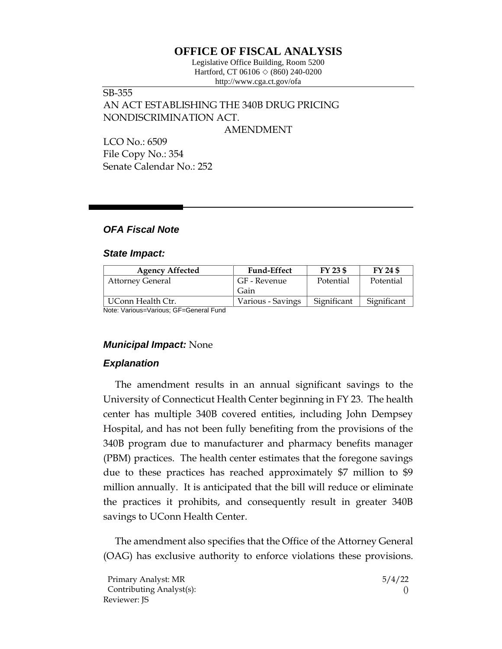# **OFFICE OF FISCAL ANALYSIS**

Legislative Office Building, Room 5200 Hartford, CT 06106  $\Diamond$  (860) 240-0200 http://www.cga.ct.gov/ofa

# SB-355 AN ACT ESTABLISHING THE 340B DRUG PRICING NONDISCRIMINATION ACT.

AMENDMENT

LCO No.: 6509 File Copy No.: 354 Senate Calendar No.: 252

## *OFA Fiscal Note*

#### *State Impact:*

| <b>Agency Affected</b>  | <b>Fund-Effect</b> | FY 23 \$    | FY 24 \$    |
|-------------------------|--------------------|-------------|-------------|
| <b>Attorney General</b> | GF - Revenue       | Potential   | Potential   |
|                         | Gain               |             |             |
| UConn Health Ctr.       | Various - Savings  | Significant | Significant |

Note: Various=Various; GF=General Fund

### *Municipal Impact:* None

## *Explanation*

The amendment results in an annual significant savings to the University of Connecticut Health Center beginning in FY 23. The health center has multiple 340B covered entities, including John Dempsey Hospital, and has not been fully benefiting from the provisions of the 340B program due to manufacturer and pharmacy benefits manager (PBM) practices. The health center estimates that the foregone savings due to these practices has reached approximately \$7 million to \$9 million annually. It is anticipated that the bill will reduce or eliminate the practices it prohibits, and consequently result in greater 340B savings to UConn Health Center.

The amendment also specifies that the Office of the Attorney General (OAG) has exclusive authority to enforce violations these provisions.

| Primary Analyst: MR      | 5/4/22 |
|--------------------------|--------|
| Contributing Analyst(s): |        |
| Reviewer: JS             |        |